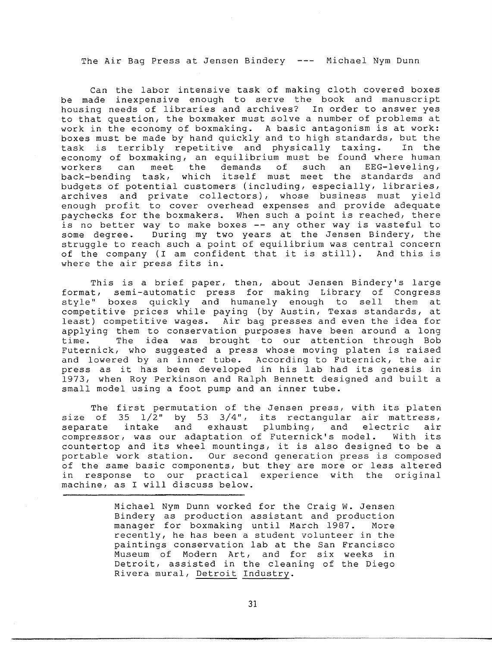The Air Bag Press at Jensen Bindery --- Michael Nym Dunn

Can the labor intensive task of making cloth covered boxes be made inexpensive enough to serve the book and manuscript housing needs of libraries and archives? In order to answer yes to that question, the boxmaker must solve a number of problems at work in the economy of boxmaking. A basic antagonism is at work: boxes must be made by hand quickly and to high standards, but the task is terribly repetitive and physically taxing. In the economy of boxmaking, an equilibrium must be found where human workers can meet the demands of such an EEG-leveling, back-bending task, which itself must meet the standards and budgets of potential customers (including, especially, libraries, archives and private collectors), whose business must yield enough profit to cover overhead expenses and provide adequa paychecks for the boxmakers. When such a point is reached, ther is no better way to make boxes -- any other way is wasteful to some degree. During my two years at the Jensen Bindery, the struggle to reach such a point of equilibrium was central concer of the company (I am confident that it is still). And this is where the air press fits in.

This is a brief paper, then, about Jensen Bindery's large format, semi-automatic press for making Library of Congres style" boxes quickly and humanely enough to sell them at competitive prices while paying (by Austin, Texas standards, at least) competitive wages. Air bag presses and even the idea for applying them to conservation purposes have been around a long time. The idea was brought to our attention through Bob Futernick, who suggested a press whose moving platen is raised and lowered by an inner tube. According to Futernick, the air press as it has been developed in his lab had its genesis in 1973, when Roy Perkinson and Ralph Bennett designed and built a small model using a foot pump and an inner tube.

The first permutation of the Jensen press, with its platen size of  $35 \frac{1}{2}$ " by 53  $3/4$ ", its rectangular air mattress, separate intake and exhaust plumbing, and electric air compressor, was our adaptation of Futernick's model. With its countertop and its wheel mountings, it is also designed to be a portable work station. Our second generation press is composed of the same basic components, but they are more or less altered in response to our practical experience with the original machine, as I will discuss below.

> Michael Nym Dunn worked for the Craig W. Jensen Bindery as production assistant and production manager for boxmaking until March 1987. More recently, he has been a student volunteer in the paintings conservation lab at the San Francisco Museum of Modern Art, and for six weeks in Detroit, assisted in the cleaning of the Diego Rivera mural, Detroit Industry.

> > 31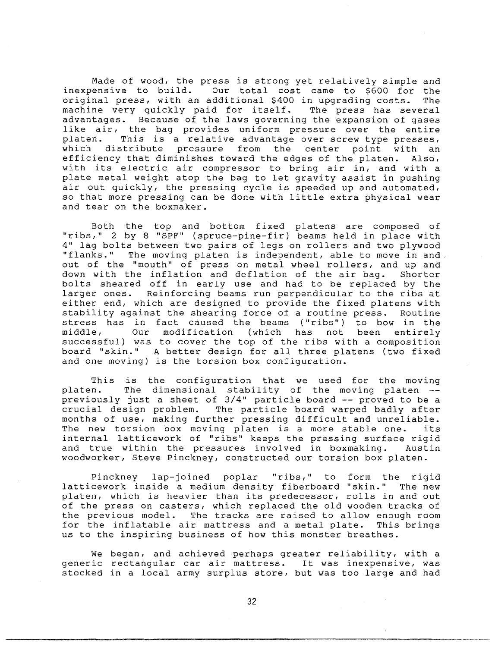Made of wood, the press is strong yet relatively simple and inexpensive to build. Our total cost came to \$600 for the original press, with an additional \$400 in upgrading costs. The machine very quickly paid for itself. The press has several advantages. Because of the laws governing the expansion of gases like air, the bag provides uniform pressure over the entire platen. This is a relative advantage over screw type presses, which distribute pressure from the center point with an efficiency that diminishes toward the edges of the platen. Also, with its electric air compressor to bring air in, and with a plate metal weight atop the bag to let gravity assist in pushing air out quickly, the pressing cycle is speeded up and automated, so that more pressing can be done with little extra physical wear and tear on the boxmaker.

Both the top and bottom fixed platens are composed of "ribs," 2 by 8 "SPF" (spruce-pine-fir) beams held in place with 4" lag bolts between two pairs of legs on rollers and two plywood "flanks." The moving platen is independent, able to move in and. out of the "mouth" of press on metal wheel rollers, and up and down with the inflation and deflation of the air bag. Shorter bolts sheared off in early use and had to be replaced by the larger ones. Reinforcing beams run perpendicular to the ribs at either end, which are designed to provide the fixed platens with stability against the shearing force of a routine press. Routine stress has in fact caused the beams ("ribs") to bow in the middle, Our modification (which has not been entirely successful) was to cover the top of the ribs with a composition board "skin." A better design for all three platens (two fixed and one moving) is the torsion box configuration.

This is the configuration that we used for the moving platen. The dimensional stability of the moving plate previously just a sheet of 3/4" particle board -- proved to be a crucial design problem. The particle board warped badly after months of use, making further pressing difficult and unreliable. The new torsion box moving platen is a more stable one. its internal latticework of "ribs" keeps the pressing surface rigid and true within the pressures involved in boxmaking. Austin woodworker, Steve Pinckney, constructed our torsion box platen.

Pinckney lap-joined poplar "ribs," to form the rigid latticework inside a medium density fiberboard "skin." The new platen, which is heavier than its predecessor, rolls in and out of the press on casters, which replaced the old wooden tracks of the previous model. The tracks are raised to allow enough room for the inflatable air mattress and a metal plate. This brings us to the inspiring business of how this monster breathes.

We began, and achieved perhaps greater reliability, with a generic rectangular car air mattress. It was inexpensive, was stocked in a local army surplus store, but was too large and had

32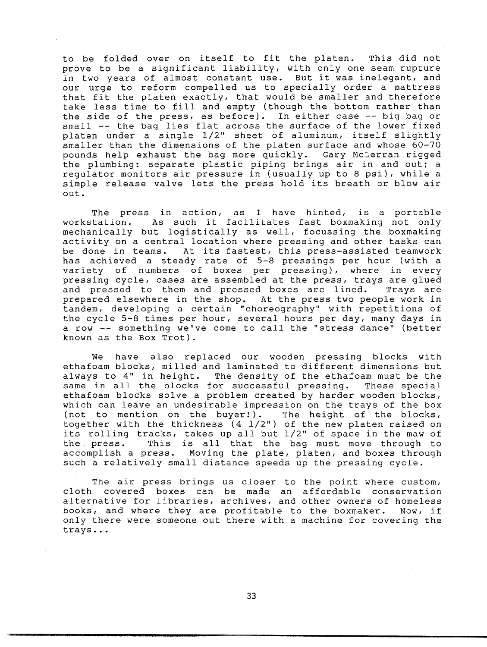to be folded over on itself to fit the platen. This did not prove to be a significant liability, with only one seam rupture in two years of almost constant use. But it was inelegant, and our urge to reform compelled us to specially order a mattre that fit the platen exactly, that would be smaller and theref take less time to fill and empty (though the bottom rather than the side of the press, as before). In either case -- big bag or small -- the bag lies flat across the surface of the lower fixed platen under a single 1/2" sheet of aluminum, itself slightly smaller than the dimensions of the platen surface and whose 60-70 pounds help exhaust the bag more quickly. Gary McLerran rigged the plumbing: separate plastic piping brings air in and out; a regulator monitors air pressure in (usually up to 8 psi), while a simple release valve lets the press hold its breath or blow air out.

The press in action, as I have hinted, is a portable workstation. As such it facilitates fast boxmaking not only mechanically but logistically as well, focussing the boxmaking activity on a central location where pressing and other tasks can be done in teams. At its fastest, this press-assisted teamwork has achieved a steady rate of 5-8 pressings per hour (with a variety of numbers of boxes per pressing), where in every pressing cycle, cases are assembled at the press, trays are glued and pressed to them and pressed boxes are lined. Trays are prepared elsewhere in the shop. At the press two people work in tandem, developing a certain "choreography" with repetitions of the cycle 5-8 times per hour, several hours per day, many days in a row -- something we've come to call the "stress dance" (better known as the Box Trot).

We have also replaced our wooden pressing blocks with ethafoam blocks, milled and laminated to different dimensions but always to 4" in height. The density of the ethafoam must be the same in all the blocks for successful pressing. These special ethafoam blocks solve a problem created by harder wooden blocks, which can leave an undesirable impression on the trays of the box (not to mention on the buyer!). The height of the blocks, (not to mention on the buyer!). together with the thickness (4 1/2") of the new platen raised on its rolling tracks, takes up all but 1/2" of space in the maw of the press. This is all that the bag must move through to accomplish a press. Moving the plate, platen, and boxes through such a relatively small distance speeds up the pressing cycle.

The air press brings us closer to the point where custom, cloth covered boxes can be made an affordable conservation alternative for libraries, archives, and other owners of homeless books, and where they are profitable to the boxmaker. Now, if only there were someone out there with a machine for covering the trays ...

33